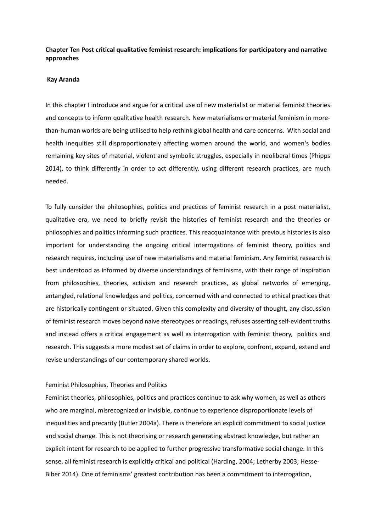# **Chapter Ten Post critical qualitative feminist research: implications for participatory and narrative approaches**

## **Kay Aranda**

In this chapter I introduce and argue for a critical use of new materialist or material feminist theories and concepts to inform qualitative health research. New materialisms or material feminism in morethan-human worlds are being utilised to help rethink global health and care concerns. With social and health inequities still disproportionately affecting women around the world, and women's bodies remaining key sites of material, violent and symbolic struggles, especially in neoliberal times (Phipps 2014), to think differently in order to act differently, using different research practices, are much needed.

To fully consider the philosophies, politics and practices of feminist research in a post materialist, qualitative era, we need to briefly revisit the histories of feminist research and the theories or philosophies and politics informing such practices. This reacquaintance with previous histories is also important for understanding the ongoing critical interrogations of feminist theory, politics and research requires, including use of new materialisms and material feminism. Any feminist research is best understood as informed by diverse understandings of feminisms, with their range of inspiration from philosophies, theories, activism and research practices, as global networks of emerging, entangled, relational knowledges and politics, concerned with and connected to ethical practices that are historically contingent or situated. Given this complexity and diversity of thought, any discussion of feminist research moves beyond naive stereotypes or readings, refuses asserting self-evident truths and instead offers a critical engagement as well as interrogation with feminist theory, politics and research. This suggests a more modest set of claims in order to explore, confront, expand, extend and revise understandings of our contemporary shared worlds.

## Feminist Philosophies, Theories and Politics

Feminist theories, philosophies, politics and practices continue to ask why women, as well as others who are marginal, misrecognized or invisible, continue to experience disproportionate levels of inequalities and precarity (Butler 2004a). There is therefore an explicit commitment to social justice and social change. This is not theorising or research generating abstract knowledge, but rather an explicit intent for research to be applied to further progressive transformative social change. In this sense, all feminist research is explicitly critical and political (Harding, 2004; Letherby 2003; Hesse-Biber 2014). One of feminisms' greatest contribution has been a commitment to interrogation,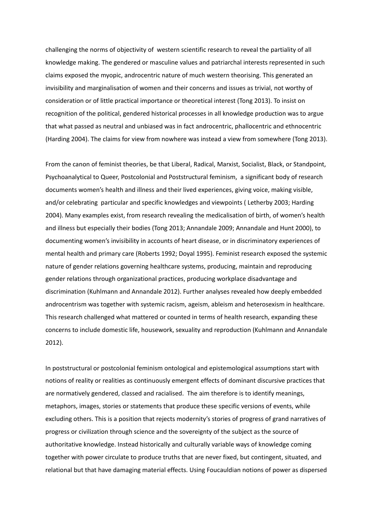challenging the norms of objectivity of western scientific research to reveal the partiality of all knowledge making. The gendered or masculine values and patriarchal interests represented in such claims exposed the myopic, androcentric nature of much western theorising. This generated an invisibility and marginalisation of women and their concerns and issues as trivial, not worthy of consideration or of little practical importance or theoretical interest (Tong 2013). To insist on recognition of the political, gendered historical processes in all knowledge production was to argue that what passed as neutral and unbiased was in fact androcentric, phallocentric and ethnocentric (Harding 2004). The claims for view from nowhere was instead a view from somewhere (Tong 2013).

From the canon of feminist theories, be that Liberal, Radical, Marxist, Socialist, Black, or Standpoint, Psychoanalytical to Queer, Postcolonial and Poststructural feminism, a significant body of research documents women's health and illness and their lived experiences, giving voice, making visible, and/or celebrating particular and specific knowledges and viewpoints ( Letherby 2003; Harding 2004). Many examples exist, from research revealing the medicalisation of birth, of women's health and illness but especially their bodies (Tong 2013; Annandale 2009; Annandale and Hunt 2000), to documenting women's invisibility in accounts of heart disease, or in discriminatory experiences of mental health and primary care (Roberts 1992; Doyal 1995). Feminist research exposed the systemic nature of gender relations governing healthcare systems, producing, maintain and reproducing gender relations through organizational practices, producing workplace disadvantage and discrimination (Kuhlmann and Annandale 2012). Further analyses revealed how deeply embedded androcentrism was together with systemic racism, ageism, ableism and heterosexism in healthcare. This research challenged what mattered or counted in terms of health research, expanding these concerns to include domestic life, housework, sexuality and reproduction (Kuhlmann and Annandale 2012).

In poststructural or postcolonial feminism ontological and epistemological assumptions start with notions of reality or realities as continuously emergent effects of dominant discursive practices that are normatively gendered, classed and racialised. The aim therefore is to identify meanings, metaphors, images, stories or statements that produce these specific versions of events, while excluding others. This is a position that rejects modernity's stories of progress of grand narratives of progress or civilization through science and the sovereignty of the subject as the source of authoritative knowledge. Instead historically and culturally variable ways of knowledge coming together with power circulate to produce truths that are never fixed, but contingent, situated, and relational but that have damaging material effects. Using Foucauldian notions of power as dispersed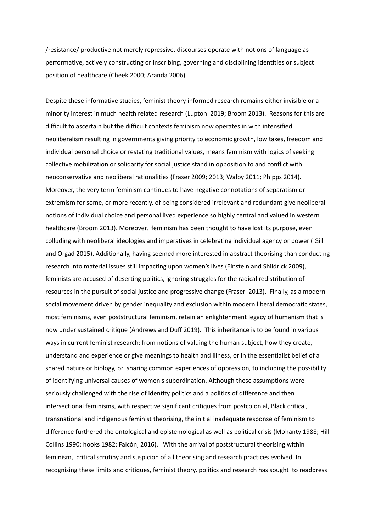/resistance/ productive not merely repressive, discourses operate with notions of language as performative, actively constructing or inscribing, governing and disciplining identities or subject position of healthcare (Cheek 2000; Aranda 2006).

Despite these informative studies, feminist theory informed research remains either invisible or a minority interest in much health related research (Lupton 2019; Broom 2013). Reasons for this are difficult to ascertain but the difficult contexts feminism now operates in with intensified neoliberalism resulting in governments giving priority to economic growth, low taxes, freedom and individual personal choice or restating traditional values, means feminism with logics of seeking collective mobilization or solidarity for social justice stand in opposition to and conflict with neoconservative and neoliberal rationalities (Fraser 2009; 2013; Walby 2011; Phipps 2014). Moreover, the very term feminism continues to have negative connotations of separatism or extremism for some, or more recently, of being considered irrelevant and redundant give neoliberal notions of individual choice and personal lived experience so highly central and valued in western healthcare (Broom 2013). Moreover, feminism has been thought to have lost its purpose, even colluding with neoliberal ideologies and imperatives in celebrating individual agency or power ( Gill and Orgad 2015). Additionally, having seemed more interested in abstract theorising than conducting research into material issues still impacting upon women's lives (Einstein and Shildrick 2009), feminists are accused of deserting politics, ignoring struggles for the radical redistribution of resources in the pursuit of social justice and progressive change (Fraser 2013). Finally, as a modern social movement driven by gender inequality and exclusion within modern liberal democratic states, most feminisms, even poststructural feminism, retain an enlightenment legacy of humanism that is now under sustained critique (Andrews and Duff 2019). This inheritance is to be found in various ways in current feminist research; from notions of valuing the human subject, how they create, understand and experience or give meanings to health and illness, or in the essentialist belief of a shared nature or biology, or sharing common experiences of oppression, to including the possibility of identifying universal causes of women's subordination. Although these assumptions were seriously challenged with the rise of identity politics and a politics of difference and then intersectional feminisms, with respective significant critiques from postcolonial, Black critical, transnational and indigenous feminist theorising, the initial inadequate response of feminism to difference furthered the ontological and epistemological as well as political crisis (Mohanty 1988; Hill Collins 1990; hooks 1982; Falcón, 2016). With the arrival of poststructural theorising within feminism, critical scrutiny and suspicion of all theorising and research practices evolved. In recognising these limits and critiques, feminist theory, politics and research has sought to readdress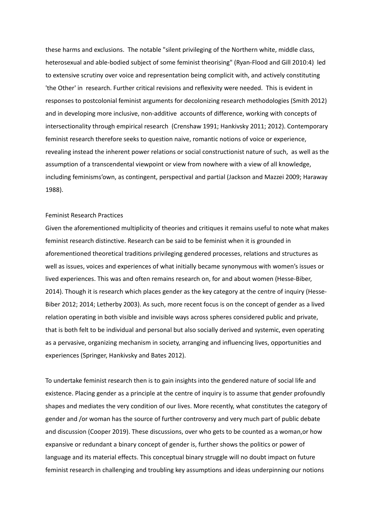these harms and exclusions. The notable "silent privileging of the Northern white, middle class, heterosexual and able-bodied subject of some feminist theorising" (Ryan-Flood and Gill 2010:4) led to extensive scrutiny over voice and representation being complicit with, and actively constituting 'the Other' in research. Further critical revisions and reflexivity were needed. This is evident in responses to postcolonial feminist arguments for decolonizing research methodologies (Smith 2012) and in developing more inclusive, non-additive accounts of difference, working with concepts of intersectionality through empirical research (Crenshaw 1991; Hankivsky 2011; 2012). Contemporary feminist research therefore seeks to question naive, romantic notions of voice or experience, revealing instead the inherent power relations or social constructionist nature of such, as well as the assumption of a transcendental viewpoint or view from nowhere with a view of all knowledge, including feminisms'own, as contingent, perspectival and partial (Jackson and Mazzei 2009; Haraway 1988).

## Feminist Research Practices

Given the aforementioned multiplicity of theories and critiques it remains useful to note what makes feminist research distinctive. Research can be said to be feminist when it is grounded in aforementioned theoretical traditions privileging gendered processes, relations and structures as well as issues, voices and experiences of what initially became synonymous with women's issues or lived experiences. This was and often remains research on, for and about women (Hesse-Biber, 2014). Though it is research which places gender as the key category at the centre of inquiry (Hesse-Biber 2012; 2014; Letherby 2003). As such, more recent focus is on the concept of gender as a lived relation operating in both visible and invisible ways across spheres considered public and private, that is both felt to be individual and personal but also socially derived and systemic, even operating as a pervasive, organizing mechanism in society, arranging and influencing lives, opportunities and experiences (Springer, Hankivsky and Bates 2012).

To undertake feminist research then is to gain insights into the gendered nature of social life and existence. Placing gender as a principle at the centre of inquiry is to assume that gender profoundly shapes and mediates the very condition of our lives. More recently, what constitutes the category of gender and /or woman has the source of further controversy and very much part of public debate and discussion (Cooper 2019). These discussions, over who gets to be counted as a woman,or how expansive or redundant a binary concept of gender is, further shows the politics or power of language and its material effects. This conceptual binary struggle will no doubt impact on future feminist research in challenging and troubling key assumptions and ideas underpinning our notions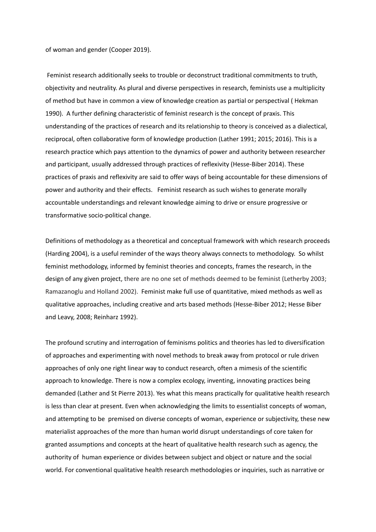of woman and gender (Cooper 2019).

Feminist research additionally seeks to trouble or deconstruct traditional commitments to truth, objectivity and neutrality. As plural and diverse perspectives in research, feminists use a multiplicity of method but have in common a view of knowledge creation as partial or perspectival ( Hekman 1990). A further defining characteristic of feminist research is the concept of praxis. This understanding of the practices of research and its relationship to theory is conceived as a dialectical, reciprocal, often collaborative form of knowledge production (Lather 1991; 2015; 2016). This is a research practice which pays attention to the dynamics of power and authority between researcher and participant, usually addressed through practices of reflexivity (Hesse-Biber 2014). These practices of praxis and reflexivity are said to offer ways of being accountable for these dimensions of power and authority and their effects. Feminist research as such wishes to generate morally accountable understandings and relevant knowledge aiming to drive or ensure progressive or transformative socio-political change.

Definitions of methodology as a theoretical and conceptual framework with which research proceeds (Harding 2004), is a useful reminder of the ways theory always connects to methodology. So whilst feminist methodology, informed by feminist theories and concepts, frames the research, in the design of any given project, there are no one set of methods deemed to be feminist (Letherby 2003; Ramazanoglu and Holland 2002). Feminist make full use of quantitative, mixed methods as well as qualitative approaches, including creative and arts based methods (Hesse-Biber 2012; Hesse Biber and Leavy, 2008; Reinharz 1992).

The profound scrutiny and interrogation of feminisms politics and theories has led to diversification of approaches and experimenting with novel methods to break away from protocol or rule driven approaches of only one right linear way to conduct research, often a mimesis of the scientific approach to knowledge. There is now a complex ecology, inventing, innovating practices being demanded (Lather and St Pierre 2013). Yes what this means practically for qualitative health research is less than clear at present. Even when acknowledging the limits to essentialist concepts of woman, and attempting to be premised on diverse concepts of woman, experience or subjectivity, these new materialist approaches of the more than human world disrupt understandings of core taken for granted assumptions and concepts at the heart of qualitative health research such as agency, the authority of human experience or divides between subject and object or nature and the social world. For conventional qualitative health research methodologies or inquiries, such as narrative or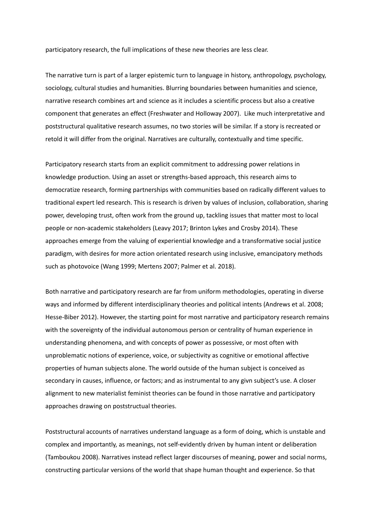participatory research, the full implications of these new theories are less clear.

The narrative turn is part of a larger epistemic turn to language in history, anthropology, psychology, sociology, cultural studies and humanities. Blurring boundaries between humanities and science, narrative research combines art and science as it includes a scientific process but also a creative component that generates an effect (Freshwater and Holloway 2007). Like much interpretative and poststructural qualitative research assumes, no two stories will be similar. If a story is recreated or retold it will differ from the original. Narratives are culturally, contextually and time specific.

Participatory research starts from an explicit commitment to addressing power relations in knowledge production. Using an asset or strengths-based approach, this research aims to democratize research, forming partnerships with communities based on radically different values to traditional expert led research. This is research is driven by values of inclusion, collaboration, sharing power, developing trust, often work from the ground up, tackling issues that matter most to local people or non-academic stakeholders (Leavy 2017; Brinton Lykes and Crosby 2014). These approaches emerge from the valuing of experiential knowledge and a transformative social justice paradigm, with desires for more action orientated research using inclusive, emancipatory methods such as photovoice (Wang 1999; Mertens 2007; Palmer et al. 2018).

Both narrative and participatory research are far from uniform methodologies, operating in diverse ways and informed by different interdisciplinary theories and political intents (Andrews et al. 2008; Hesse-Biber 2012). However, the starting point for most narrative and participatory research remains with the sovereignty of the individual autonomous person or centrality of human experience in understanding phenomena, and with concepts of power as possessive, or most often with unproblematic notions of experience, voice, or subjectivity as cognitive or emotional affective properties of human subjects alone. The world outside of the human subject is conceived as secondary in causes, influence, or factors; and as instrumental to any givn subject's use. A closer alignment to new materialist feminist theories can be found in those narrative and participatory approaches drawing on poststructual theories.

Poststructural accounts of narratives understand language as a form of doing, which is unstable and complex and importantly, as meanings, not self-evidently driven by human intent or deliberation (Tamboukou 2008). Narratives instead reflect larger discourses of meaning, power and social norms, constructing particular versions of the world that shape human thought and experience. So that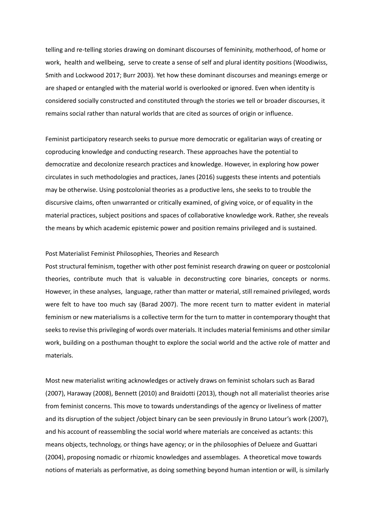telling and re-telling stories drawing on dominant discourses of femininity, motherhood, of home or work, health and wellbeing, serve to create a sense of self and plural identity positions (Woodiwiss, Smith and Lockwood 2017; Burr 2003). Yet how these dominant discourses and meanings emerge or are shaped or entangled with the material world is overlooked or ignored. Even when identity is considered socially constructed and constituted through the stories we tell or broader discourses, it remains social rather than natural worlds that are cited as sources of origin or influence.

Feminist participatory research seeks to pursue more democratic or egalitarian ways of creating or coproducing knowledge and conducting research. These approaches have the potential to democratize and decolonize research practices and knowledge. However, in exploring how power circulates in such methodologies and practices, Janes (2016) suggests these intents and potentials may be otherwise. Using postcolonial theories as a productive lens, she seeks to to trouble the discursive claims, often unwarranted or critically examined, of giving voice, or of equality in the material practices, subject positions and spaces of collaborative knowledge work. Rather, she reveals the means by which academic epistemic power and position remains privileged and is sustained.

### Post Materialist Feminist Philosophies, Theories and Research

Post structural feminism, together with other post feminist research drawing on queer or postcolonial theories, contribute much that is valuable in deconstructing core binaries, concepts or norms. However, in these analyses, language, rather than matter or material, still remained privileged, words were felt to have too much say (Barad 2007). The more recent turn to matter evident in material feminism or new materialisms is a collective term for the turn to matter in contemporary thought that seeks to revise this privileging of words over materials. It includes material feminisms and other similar work, building on a posthuman thought to explore the social world and the active role of matter and materials.

Most new materialist writing acknowledges or actively draws on feminist scholars such as Barad (2007), Haraway (2008), Bennett (2010) and Braidotti (2013), though not all materialist theories arise from feminist concerns. This move to towards understandings of the agency or liveliness of matter and its disruption of the subject /object binary can be seen previously in Bruno Latour's work (2007), and his account of reassembling the social world where materials are conceived as actants: this means objects, technology, or things have agency; or in the philosophies of Delueze and Guattari (2004), proposing nomadic or rhizomic knowledges and assemblages. A theoretical move towards notions of materials as performative, as doing something beyond human intention or will, is similarly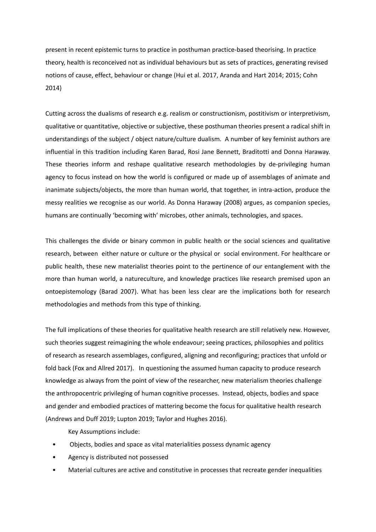present in recent epistemic turns to practice in posthuman practice-based theorising. In practice theory, health is reconceived not as individual behaviours but as sets of practices, generating revised notions of cause, effect, behaviour or change (Hui et al. 2017, Aranda and Hart 2014; 2015; Cohn 2014)

Cutting across the dualisms of research e.g. realism or constructionism, postitivism or interpretivism, qualitative or quantitative, objective or subjective, these posthuman theories present a radical shift in understandings of the subject / object nature/culture dualism. A number of key feminist authors are influential in this tradition including Karen Barad, Rosi Jane Bennett, Braditotti and Donna Haraway. These theories inform and reshape qualitative research methodologies by de-privileging human agency to focus instead on how the world is configured or made up of assemblages of animate and inanimate subjects/objects, the more than human world, that together, in intra-action, produce the messy realities we recognise as our world. As Donna Haraway (2008) argues, as companion species, humans are continually 'becoming with' microbes, other animals, technologies, and spaces.

This challenges the divide or binary common in public health or the social sciences and qualitative research, between either nature or culture or the physical or social environment. For healthcare or public health, these new materialist theories point to the pertinence of our entanglement with the more than human world, a natureculture, and knowledge practices like research premised upon an ontoepistemology (Barad 2007). What has been less clear are the implications both for research methodologies and methods from this type of thinking.

The full implications of these theories for qualitative health research are still relatively new. However, such theories suggest reimagining the whole endeavour; seeing practices, philosophies and politics of research as research assemblages, configured, aligning and reconfiguring; practices that unfold or fold back (Fox and Allred 2017). In questioning the assumed human capacity to produce research knowledge as always from the point of view of the researcher, new materialism theories challenge the anthropocentric privileging of human cognitive processes. Instead, objects, bodies and space and gender and embodied practices of mattering become the focus for qualitative health research (Andrews and Duff 2019; Lupton 2019; Taylor and Hughes 2016).

Key Assumptions include:

- Objects, bodies and space as vital materialities possess dynamic agency
- Agency is distributed not possessed
- Material cultures are active and constitutive in processes that recreate gender inequalities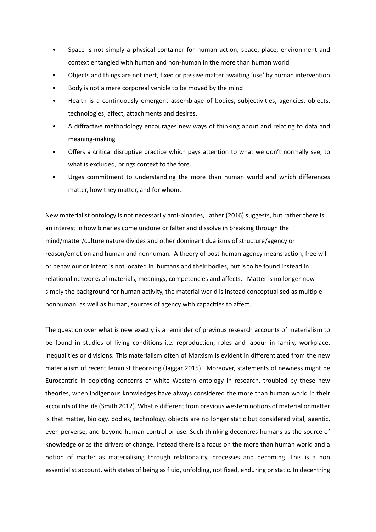- Space is not simply a physical container for human action, space, place, environment and context entangled with human and non-human in the more than human world
- Objects and things are not inert, fixed or passive matter awaiting 'use' by human intervention
- Body is not a mere corporeal vehicle to be moved by the mind
- Health is a continuously emergent assemblage of bodies, subjectivities, agencies, objects, technologies, affect, attachments and desires.
- A diffractive methodology encourages new ways of thinking about and relating to data and meaning-making
- Offers a critical disruptive practice which pays attention to what we don't normally see, to what is excluded, brings context to the fore.
- Urges commitment to understanding the more than human world and which differences matter, how they matter, and for whom.

New materialist ontology is not necessarily anti-binaries, Lather (2016) suggests, but rather there is an interest in how binaries come undone or falter and dissolve in breaking through the mind/matter/culture nature divides and other dominant dualisms of structure/agency or reason/emotion and human and nonhuman. A theory of post-human agency means action, free will or behaviour or intent is not located in humans and their bodies, but is to be found instead in relational networks of materials, meanings, competencies and affects. Matter is no longer now simply the background for human activity, the material world is instead conceptualised as multiple nonhuman, as well as human, sources of agency with capacities to affect.

The question over what is new exactly is a reminder of previous research accounts of materialism to be found in studies of living conditions i.e. reproduction, roles and labour in family, workplace, inequalities or divisions. This materialism often of Marxism is evident in differentiated from the new materialism of recent feminist theorising (Jaggar 2015). Moreover, statements of newness might be Eurocentric in depicting concerns of white Western ontology in research, troubled by these new theories, when indigenous knowledges have always considered the more than human world in their accounts of the life (Smith 2012). What is different from previous western notions of material or matter is that matter, biology, bodies, technology, objects are no longer static but considered vital, agentic, even perverse, and beyond human control or use. Such thinking decentres humans as the source of knowledge or as the drivers of change. Instead there is a focus on the more than human world and a notion of matter as materialising through relationality, processes and becoming. This is a non essentialist account, with states of being as fluid, unfolding, not fixed, enduring or static. In decentring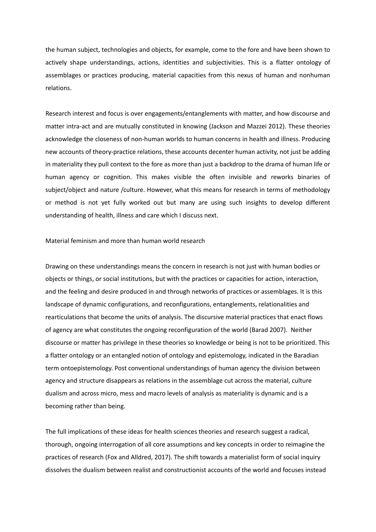the human subject, technologies and objects, for example, come to the fore and have been shown to actively shape understandings, actions, identities and subjectivities. This is a flatter ontology of assemblages or practices producing, material capacities from this nexus of human and nonhuman relations.

Research interest and focus is over engagements/entanglements with matter, and how discourse and matter intra-act and are mutually constituted in knowing (Jackson and Mazzei 2012). These theories acknowledge the closeness of non-human worlds to human concerns in health and illness. Producing new accounts of theory-practice relations, these accounts decenter human activity, not just be adding in materiality they pull context to the fore as more than just a backdrop to the drama of human life or human agency or cognition. This makes visible the often invisible and reworks binaries of subject/object and nature /culture. However, what this means for research in terms of methodology or method is not yet fully worked out but many are using such insights to develop different understanding of health, illness and care which I discuss next.

Material feminism and more than human world research

Drawing on these understandings means the concern in research is not just with human bodies or objects or things, or social institutions, but with the practices or capacities for action, interaction, and the feeling and desire produced in and through networks of practices or assemblages. It is this landscape of dynamic configurations, and reconfigurations, entanglements, relationalities and rearticulations that become the units of analysis. The discursive material practices that enact flows of agency are what constitutes the ongoing reconfiguration of the world (Barad 2007). Neither discourse or matter has privilege in these theories so knowledge or being is not to be prioritized. This a flatter ontology or an entangled notion of ontology and epistemology, indicated in the Baradian term ontoepistemology. Post conventional understandings of human agency the division between agency and structure disappears as relations in the assemblage cut across the material, culture dualism and across micro, mess and macro levels of analysis as materiality is dynamic and is a becoming rather than being.

The full implications of these ideas for health sciences theories and research suggest a radical, thorough, ongoing interrogation of all core assumptions and key concepts in order to reimagine the practices of research (Fox and Alldred, 2017). The shift towards a materialist form of social inquiry dissolves the dualism between realist and constructionist accounts of the world and focuses instead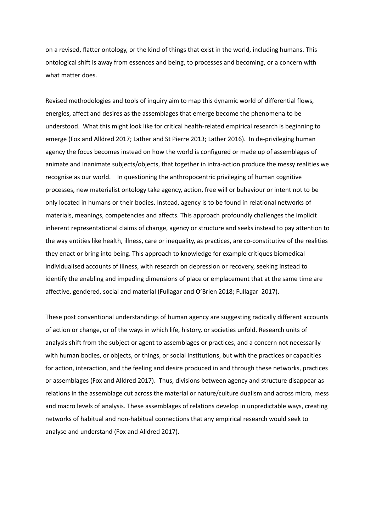on a revised, flatter ontology, or the kind of things that exist in the world, including humans. This ontological shift is away from essences and being, to processes and becoming, or a concern with what matter does.

Revised methodologies and tools of inquiry aim to map this dynamic world of differential flows, energies, affect and desires as the assemblages that emerge become the phenomena to be understood. What this might look like for critical health-related empirical research is beginning to emerge (Fox and Alldred 2017; Lather and St Pierre 2013; Lather 2016). In de-privileging human agency the focus becomes instead on how the world is configured or made up of assemblages of animate and inanimate subjects/objects, that together in intra-action produce the messy realities we recognise as our world. In questioning the anthropocentric privileging of human cognitive processes, new materialist ontology take agency, action, free will or behaviour or intent not to be only located in humans or their bodies. Instead, agency is to be found in relational networks of materials, meanings, competencies and affects. This approach profoundly challenges the implicit inherent representational claims of change, agency or structure and seeks instead to pay attention to the way entities like health, illness, care or inequality, as practices, are co-constitutive of the realities they enact or bring into being. This approach to knowledge for example critiques biomedical individualised accounts of illness, with research on depression or recovery, seeking instead to identify the enabling and impeding dimensions of place or emplacement that at the same time are affective, gendered, social and material (Fullagar and O'Brien 2018; Fullagar 2017).

These post conventional understandings of human agency are suggesting radically different accounts of action or change, or of the ways in which life, history, or societies unfold. Research units of analysis shift from the subject or agent to assemblages or practices, and a concern not necessarily with human bodies, or objects, or things, or social institutions, but with the practices or capacities for action, interaction, and the feeling and desire produced in and through these networks, practices or assemblages (Fox and Alldred 2017). Thus, divisions between agency and structure disappear as relations in the assemblage cut across the material or nature/culture dualism and across micro, mess and macro levels of analysis. These assemblages of relations develop in unpredictable ways, creating networks of habitual and non-habitual connections that any empirical research would seek to analyse and understand (Fox and Alldred 2017).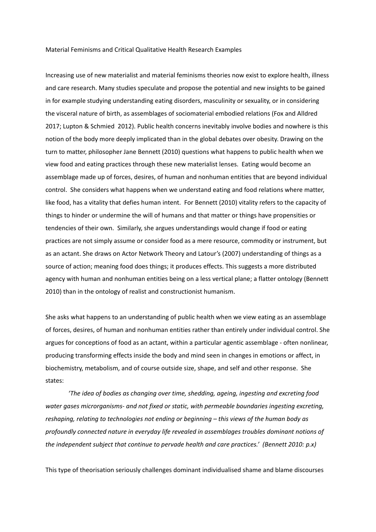#### Material Feminisms and Critical Qualitative Health Research Examples

Increasing use of new materialist and material feminisms theories now exist to explore health, illness and care research. Many studies speculate and propose the potential and new insights to be gained in for example studying understanding eating disorders, masculinity or sexuality, or in considering the visceral nature of birth, as assemblages of sociomaterial embodied relations (Fox and Alldred 2017; Lupton & Schmied 2012). Public health concerns inevitably involve bodies and nowhere is this notion of the body more deeply implicated than in the global debates over obesity. Drawing on the turn to matter, philosopher Jane Bennett (2010) questions what happens to public health when we view food and eating practices through these new materialist lenses. Eating would become an assemblage made up of forces, desires, of human and nonhuman entities that are beyond individual control. She considers what happens when we understand eating and food relations where matter, like food, has a vitality that defies human intent. For Bennett (2010) vitality refers to the capacity of things to hinder or undermine the will of humans and that matter or things have propensities or tendencies of their own. Similarly, she argues understandings would change if food or eating practices are not simply assume or consider food as a mere resource, commodity or instrument, but as an actant. She draws on Actor Network Theory and Latour's (2007) understanding of things as a source of action; meaning food does things; it produces effects. This suggests a more distributed agency with human and nonhuman entities being on a less vertical plane; a flatter ontology (Bennett 2010) than in the ontology of realist and constructionist humanism.

She asks what happens to an understanding of public health when we view eating as an assemblage of forces, desires, of human and nonhuman entities rather than entirely under individual control. She argues for conceptions of food as an actant, within a particular agentic assemblage - often nonlinear, producing transforming effects inside the body and mind seen in changes in emotions or affect, in biochemistry, metabolism, and of course outside size, shape, and self and other response. She states:

*'The idea of bodies as changing over time, shedding, ageing, ingesting and excreting food water gases microrganisms- and not fixed or static, with permeable boundaries ingesting excreting, reshaping, relating to technologies not ending or beginning – this views of the human body as profoundly connected nature in everyday life revealed in assemblages troubles dominant notions of the independent subject that continue to pervade health and care practices.' (Bennett 2010: p.x)*

This type of theorisation seriously challenges dominant individualised shame and blame discourses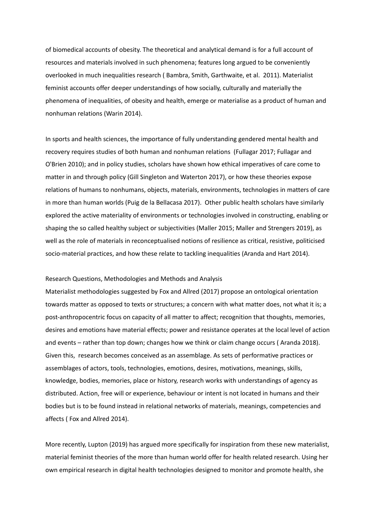of biomedical accounts of obesity. The theoretical and analytical demand is for a full account of resources and materials involved in such phenomena; features long argued to be conveniently overlooked in much inequalities research ( Bambra, Smith, Garthwaite, et al. 2011). Materialist feminist accounts offer deeper understandings of how socially, culturally and materially the phenomena of inequalities, of obesity and health, emerge or materialise as a product of human and nonhuman relations (Warin 2014).

In sports and health sciences, the importance of fully understanding gendered mental health and recovery requires studies of both human and nonhuman relations (Fullagar 2017; Fullagar and O'Brien 2010); and in policy studies, scholars have shown how ethical imperatives of care come to matter in and through policy (Gill Singleton and Waterton 2017), or how these theories expose relations of humans to nonhumans, objects, materials, environments, technologies in matters of care in more than human worlds (Puig de la Bellacasa 2017). Other public health scholars have similarly explored the active materiality of environments or technologies involved in constructing, enabling or shaping the so called healthy subject or subjectivities (Maller 2015; Maller and Strengers 2019), as well as the role of materials in reconceptualised notions of resilience as critical, resistive, politicised socio-material practices, and how these relate to tackling inequalities (Aranda and Hart 2014).

## Research Questions, Methodologies and Methods and Analysis

Materialist methodologies suggested by Fox and Allred (2017) propose an ontological orientation towards matter as opposed to texts or structures; a concern with what matter does, not what it is; a post-anthropocentric focus on capacity of all matter to affect; recognition that thoughts, memories, desires and emotions have material effects; power and resistance operates at the local level of action and events – rather than top down; changes how we think or claim change occurs ( Aranda 2018). Given this, research becomes conceived as an assemblage. As sets of performative practices or assemblages of actors, tools, technologies, emotions, desires, motivations, meanings, skills, knowledge, bodies, memories, place or history, research works with understandings of agency as distributed. Action, free will or experience, behaviour or intent is not located in humans and their bodies but is to be found instead in relational networks of materials, meanings, competencies and affects ( Fox and Allred 2014).

More recently, Lupton (2019) has argued more specifically for inspiration from these new materialist, material feminist theories of the more than human world offer for health related research. Using her own empirical research in digital health technologies designed to monitor and promote health, she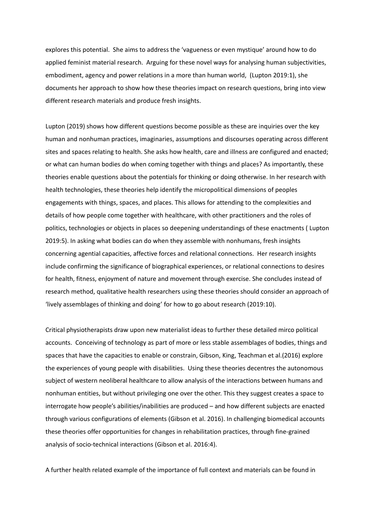explores this potential. She aims to address the 'vagueness or even mystique' around how to do applied feminist material research. Arguing for these novel ways for analysing human subjectivities, embodiment, agency and power relations in a more than human world, (Lupton 2019:1), she documents her approach to show how these theories impact on research questions, bring into view different research materials and produce fresh insights.

Lupton (2019) shows how different questions become possible as these are inquiries over the key human and nonhuman practices, imaginaries, assumptions and discourses operating across different sites and spaces relating to health. She asks how health, care and illness are configured and enacted; or what can human bodies do when coming together with things and places? As importantly, these theories enable questions about the potentials for thinking or doing otherwise. In her research with health technologies, these theories help identify the micropolitical dimensions of peoples engagements with things, spaces, and places. This allows for attending to the complexities and details of how people come together with healthcare, with other practitioners and the roles of politics, technologies or objects in places so deepening understandings of these enactments ( Lupton 2019:5). In asking what bodies can do when they assemble with nonhumans, fresh insights concerning agential capacities, affective forces and relational connections. Her research insights include confirming the significance of biographical experiences, or relational connections to desires for health, fitness, enjoyment of nature and movement through exercise. She concludes instead of research method, qualitative health researchers using these theories should consider an approach of 'lively assemblages of thinking and doing' for how to go about research (2019:10).

Critical physiotherapists draw upon new materialist ideas to further these detailed mirco political accounts. Conceiving of technology as part of more or less stable assemblages of bodies, things and spaces that have the capacities to enable or constrain, Gibson, King, Teachman et al.(2016) explore the experiences of young people with disabilities. Using these theories decentres the autonomous subject of western neoliberal healthcare to allow analysis of the interactions between humans and nonhuman entities, but without privileging one over the other. This they suggest creates a space to interrogate how people's abilities/inabilities are produced – and how different subjects are enacted through various configurations of elements (Gibson et al. 2016). In challenging biomedical accounts these theories offer opportunities for changes in rehabilitation practices, through fine-grained analysis of socio-technical interactions (Gibson et al. 2016:4).

A further health related example of the importance of full context and materials can be found in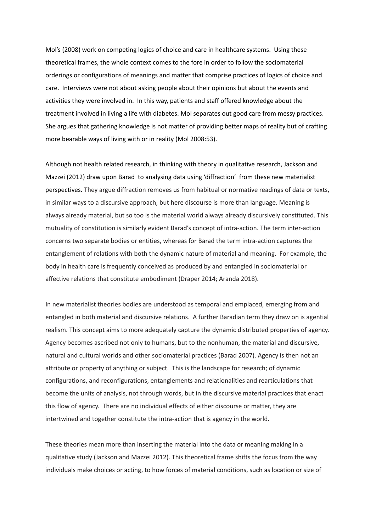Mol's (2008) work on competing logics of choice and care in healthcare systems. Using these theoretical frames, the whole context comes to the fore in order to follow the sociomaterial orderings or configurations of meanings and matter that comprise practices of logics of choice and care. Interviews were not about asking people about their opinions but about the events and activities they were involved in. In this way, patients and staff offered knowledge about the treatment involved in living a life with diabetes. Mol separates out good care from messy practices. She argues that gathering knowledge is not matter of providing better maps of reality but of crafting more bearable ways of living with or in reality (Mol 2008:53).

Although not health related research, in thinking with theory in qualitative research, Jackson and Mazzei (2012) draw upon Barad to analysing data using 'diffraction' from these new materialist perspectives. They argue diffraction removes us from habitual or normative readings of data or texts, in similar ways to a discursive approach, but here discourse is more than language. Meaning is always already material, but so too is the material world always already discursively constituted. This mutuality of constitution is similarly evident Barad's concept of intra-action. The term inter-action concerns two separate bodies or entities, whereas for Barad the term intra-action captures the entanglement of relations with both the dynamic nature of material and meaning. For example, the body in health care is frequently conceived as produced by and entangled in sociomaterial or affective relations that constitute embodiment (Draper 2014; Aranda 2018).

In new materialist theories bodies are understood as temporal and emplaced, emerging from and entangled in both material and discursive relations. A further Baradian term they draw on is agential realism. This concept aims to more adequately capture the dynamic distributed properties of agency. Agency becomes ascribed not only to humans, but to the nonhuman, the material and discursive, natural and cultural worlds and other sociomaterial practices (Barad 2007). Agency is then not an attribute or property of anything or subject. This is the landscape for research; of dynamic configurations, and reconfigurations, entanglements and relationalities and rearticulations that become the units of analysis, not through words, but in the discursive material practices that enact this flow of agency. There are no individual effects of either discourse or matter, they are intertwined and together constitute the intra-action that is agency in the world.

These theories mean more than inserting the material into the data or meaning making in a qualitative study (Jackson and Mazzei 2012). This theoretical frame shifts the focus from the way individuals make choices or acting, to how forces of material conditions, such as location or size of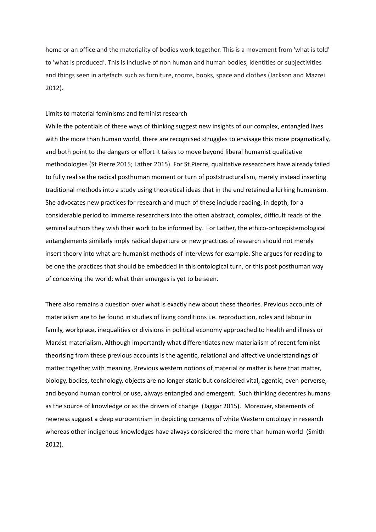home or an office and the materiality of bodies work together. This is a movement from 'what is told' to 'what is produced'. This is inclusive of non human and human bodies, identities or subjectivities and things seen in artefacts such as furniture, rooms, books, space and clothes (Jackson and Mazzei 2012).

## Limits to material feminisms and feminist research

While the potentials of these ways of thinking suggest new insights of our complex, entangled lives with the more than human world, there are recognised struggles to envisage this more pragmatically, and both point to the dangers or effort it takes to move beyond liberal humanist qualitative methodologies (St Pierre 2015; Lather 2015). For St Pierre, qualitative researchers have already failed to fully realise the radical posthuman moment or turn of poststructuralism, merely instead inserting traditional methods into a study using theoretical ideas that in the end retained a lurking humanism. She advocates new practices for research and much of these include reading, in depth, for a considerable period to immerse researchers into the often abstract, complex, difficult reads of the seminal authors they wish their work to be informed by. For Lather, the ethico-ontoepistemological entanglements similarly imply radical departure or new practices of research should not merely insert theory into what are humanist methods of interviews for example. She argues for reading to be one the practices that should be embedded in this ontological turn, or this post posthuman way of conceiving the world; what then emerges is yet to be seen.

There also remains a question over what is exactly new about these theories. Previous accounts of materialism are to be found in studies of living conditions i.e. reproduction, roles and labour in family, workplace, inequalities or divisions in political economy approached to health and illness or Marxist materialism. Although importantly what differentiates new materialism of recent feminist theorising from these previous accounts is the agentic, relational and affective understandings of matter together with meaning. Previous western notions of material or matter is here that matter, biology, bodies, technology, objects are no longer static but considered vital, agentic, even perverse, and beyond human control or use, always entangled and emergent. Such thinking decentres humans as the source of knowledge or as the drivers of change (Jaggar 2015). Moreover, statements of newness suggest a deep eurocentrism in depicting concerns of white Western ontology in research whereas other indigenous knowledges have always considered the more than human world (Smith 2012).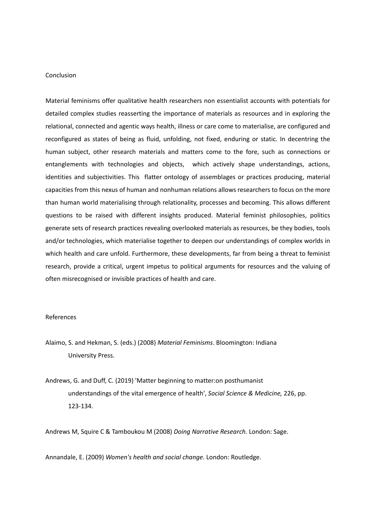## Conclusion

Material feminisms offer qualitative health researchers non essentialist accounts with potentials for detailed complex studies reasserting the importance of materials as resources and in exploring the relational, connected and agentic ways health, illness or care come to materialise, are configured and reconfigured as states of being as fluid, unfolding, not fixed, enduring or static. In decentring the human subject, other research materials and matters come to the fore, such as connections or entanglements with technologies and objects, which actively shape understandings, actions, identities and subjectivities. This flatter ontology of assemblages or practices producing, material capacities from this nexus of human and nonhuman relations allows researchers to focus on the more than human world materialising through relationality, processes and becoming. This allows different questions to be raised with different insights produced. Material feminist philosophies, politics generate sets of research practices revealing overlooked materials as resources, be they bodies, tools and/or technologies, which materialise together to deepen our understandings of complex worlds in which health and care unfold. Furthermore, these developments, far from being a threat to feminist research, provide a critical, urgent impetus to political arguments for resources and the valuing of often misrecognised or invisible practices of health and care.

### References

- Alaimo, S. and Hekman, S. (eds.) (2008) *Material Feminisms*. Bloomington: Indiana University Press.
- Andrews, G. and Duff, C. (2019) 'Matter beginning to matter:on posthumanist understandings of the vital emergence of health', *Social Science & Medicine,* 226, pp. 123-134.

Andrews M, Squire C & Tamboukou M (2008) *Doing Narrative Research*. London: Sage.

Annandale, E. (2009) *Women's health and social change.* London: Routledge.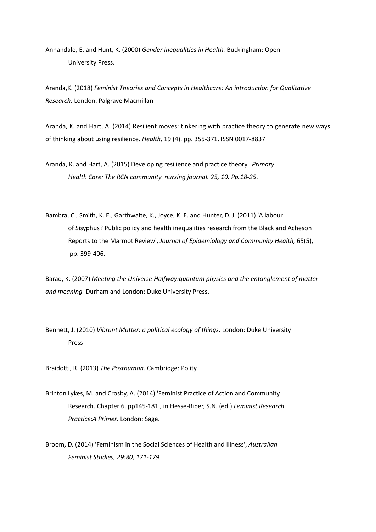Annandale, E. and Hunt, K. (2000) *Gender Inequalities in Health.* Buckingham: Open University Press.

Aranda,K. (2018) *Feminist Theories and Concepts in Healthcare: An introduction for Qualitative Research.* London. Palgrave Macmillan

Aranda, K. and Hart, A. (2014) Resilient moves: tinkering with practice theory to generate new ways of thinking about using resilience. *Health,* 19 (4). pp. 355-371. ISSN 0017-8837

Aranda, K. and Hart, A. (2015) Developing resilience and practice theory. *Primary Health Care: The RCN community nursing journal. 25, 10. Pp.18-25*.

Bambra, C., Smith, K. E., Garthwaite, K., Joyce, K. E. and Hunter, D. J. (2011) 'A labour of Sisyphus? Public policy and health inequalities research from the Black and Acheson Reports to the Marmot Review', *Journal of Epidemiology and Community Health,* 65(5), pp. 399-406.

Barad, K. (2007) *Meeting the Universe Halfway:quantum physics and the entanglement of matter and meaning.* Durham and London: Duke University Press.

Bennett, J. (2010) *Vibrant Matter: a political ecology of things.* London: Duke University Press

Braidotti, R. (2013) *The Posthuman.* Cambridge: Polity.

Brinton Lykes, M. and Crosby, A. (2014) 'Feminist Practice of Action and Community Research. Chapter 6. pp145-181', in Hesse-Biber, S.N. (ed.) *Feminist Research Practice:A Primer*. London: Sage.

Broom, D. (2014) 'Feminism in the Social Sciences of Health and Illness', *Australian Feminist Studies, 29:80, 171-179.*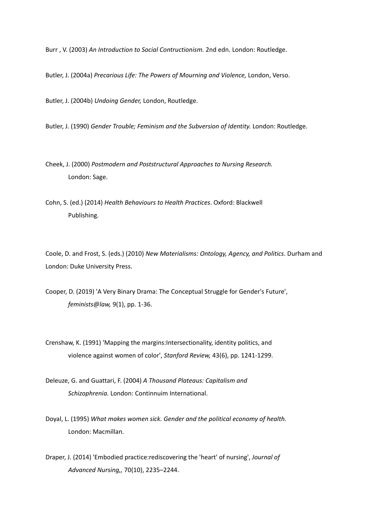Burr , V. (2003) *An Introduction to Social Contructionism.* 2nd edn. London: Routledge.

Butler, J. (2004a) *Precarious Life: The Powers of Mourning and Violence,* London, Verso.

Butler, J. (2004b) *Undoing Gender,* London, Routledge.

Butler, J. (1990) *Gender Trouble; Feminism and the Subversion of Identity.* London: Routledge.

Cheek, J. (2000) *Postmodern and Poststructural Approaches to Nursing Research.* London: Sage.

Cohn, S. (ed.) (2014) *Health Behaviours to Health Practices*. Oxford: Blackwell Publishing.

Coole, D. and Frost, S. (eds.) (2010) *New Materialisms: Ontology, Agency, and Politics*. Durham and London: Duke University Press.

Cooper, D. (2019) 'A Very Binary Drama: The Conceptual Struggle for Gender's Future', *feminists@law,* 9(1), pp. 1-36.

Crenshaw, K. (1991) 'Mapping the margins:Intersectionality, identity politics, and violence against women of color', *Stanford Review,* 43(6), pp. 1241-1299.

Deleuze, G. and Guattari, F. (2004) *A Thousand Plateaus: Capitalism and Schizophrenia.* London: Continnuim International.

Doyal, L. (1995) *What makes women sick. Gender and the political economy of health.* London: Macmillan.

Draper, J. (2014) 'Embodied practice:rediscovering the 'heart' of nursing', *Journal of Advanced Nursing,,* 70(10), 2235–2244.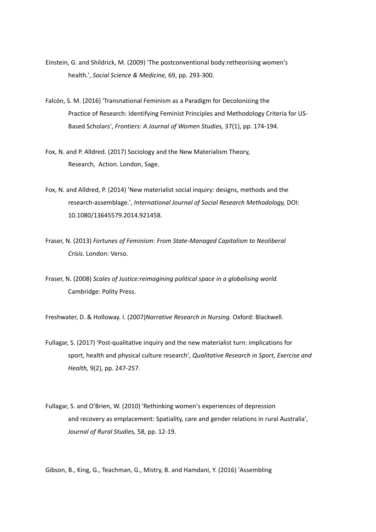- Einstein, G. and Shildrick, M. (2009) 'The postconventional body:retheorising women's health.', *Social Science & Medicine,* 69, pp. 293-300.
- Falcón, S. M. (2016) 'Transnational Feminism as a Paradigm for Decolonizing the Practice of Research: Identifying Feminist Principles and Methodology Criteria for US-Based Scholars', *Frontiers: A Journal of Women Studies,* 37(1), pp. 174-194.
- Fox, N. and P. Alldred. (2017) Sociology and the New Materialism Theory, Research, Action. London, Sage.
- Fox, N. and Alldred, P. (2014) 'New materialist social inquiry: designs, methods and the research-assemblage.', *International Journal of Social Research Methodology,* DOI: 10.1080/13645579.2014.921458.
- Fraser, N. (2013) *Fortunes of Feminism: From State-Managed Capitalism to Neoliberal Crisis.* London: Verso.
- Fraser, N. (2008) *Scales of Justice:reimagining political space in a globalising world.* Cambridge: Polity Press.

Freshwater, D. & Holloway. I. (2007)*Narrative Research in Nursing.* Oxford: Blackwell.

- Fullagar, S. (2017) 'Post-qualitative inquiry and the new materialist turn: implications for sport, health and physical culture research', *Qualitative Research in Sport, Exercise and Health,* 9(2), pp. 247-257.
- Fullagar, S. and O'Brien, W. (2010) 'Rethinking women's experiences of depression and recovery as emplacement: Spatiality, care and gender relations in rural Australia', *Journal of Rural Studies,* 58, pp. 12-19.

Gibson, B., King, G., Teachman, G., Mistry, B. and Hamdani, Y. (2016) 'Assembling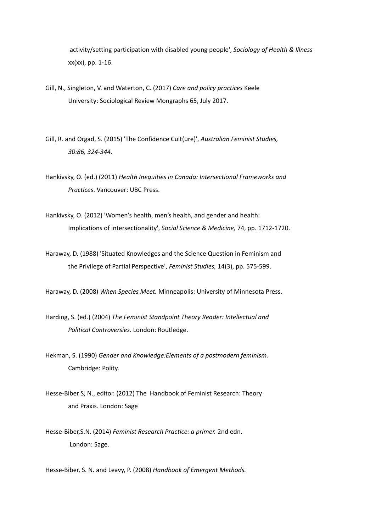activity/setting participation with disabled young people', *Sociology of Health & Illness*  xx(xx), pp. 1-16.

- Gill, N., Singleton, V. and Waterton, C. (2017) *Care and policy practices* Keele University: Sociological Review Mongraphs 65, July 2017.
- Gill, R. and Orgad, S. (2015) 'The Confidence Cult(ure)', *Australian Feminist Studies, 30:86, 324-344.*
- Hankivsky, O. (ed.) (2011) *Health Inequities in Canada: Intersectional Frameworks and Practices*. Vancouver: UBC Press.
- Hankivsky, O. (2012) 'Women's health, men's health, and gender and health: Implications of intersectionality', *Social Science & Medicine,* 74, pp. 1712-1720.
- Haraway, D. (1988) 'Situated Knowledges and the Science Question in Feminism and the Privilege of Partial Perspective', *Feminist Studies,* 14(3), pp. 575-599.

Haraway, D. (2008) *When Species Meet.* Minneapolis: University of Minnesota Press.

Harding, S. (ed.) (2004) *The Feminist Standpoint Theory Reader: Intellectual and Political Controversies*. London: Routledge.

Hekman, S. (1990) *Gender and Knowledge:Elements of a postmodern feminism.* Cambridge: Polity.

- Hesse-Biber S, N., editor. (2012) The Handbook of Feminist Research: Theory and Praxis. London: Sage
- Hesse-Biber,S.N. (2014) *Feminist Research Practice: a primer.* 2nd edn. London: Sage.

Hesse-Biber, S. N. and Leavy, P. (2008) *Handbook of Emergent Methods.*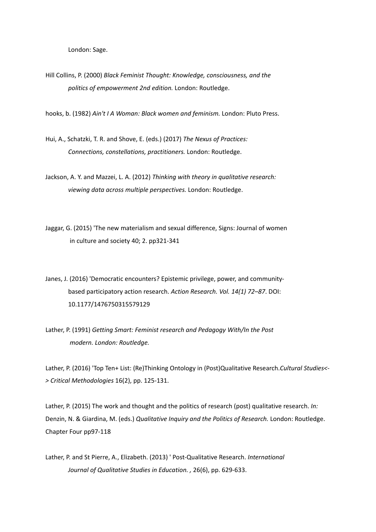London: Sage.

Hill Collins, P. (2000) *Black Feminist Thought: Knowledge, consciousness, and the politics of empowerment 2nd edition.* London: Routledge.

hooks, b. (1982) *Ain't I A Woman: Black women and feminism.* London: Pluto Press.

Hui, A., Schatzki, T. R. and Shove, E. (eds.) (2017) *The Nexus of Practices: Connections, constellations, practitioners.* London: Routledge.

Jackson, A. Y. and Mazzei, L. A. (2012) *Thinking with theory in qualitative research: viewing data across multiple perspectives.* London: Routledge.

Jaggar, G. (2015) 'The new materialism and sexual difference, Signs: Journal of women in culture and society 40; 2. pp321-341

Janes, J. (2016) 'Democratic encounters? Epistemic privilege, power, and communitybased participatory action research. *Action Research. Vol. 14(1) 72–87*. DOI: 10.1177/1476750315579129

Lather, P. (1991) *Getting Smart: Feminist research and Pedagogy With/In the Post modern. London: Routledge.*

Lather, P. (2016) 'Top Ten+ List: (Re)Thinking Ontology in (Post)Qualitative Research.*Cultural Studies<- > Critical Methodologies* 16(2), pp. 125-131.

Lather, P. (2015) The work and thought and the politics of research (post) qualitative research. *In:* Denzin, N. & Giardina, M. (eds.) *Qualitative Inquiry and the Politics of Research.* London: Routledge. Chapter Four pp97-118

Lather, P. and St Pierre, A., Elizabeth. (2013) ' Post-Qualitative Research. *International Journal of Qualitative Studies in Education. ,* 26(6), pp. 629-633.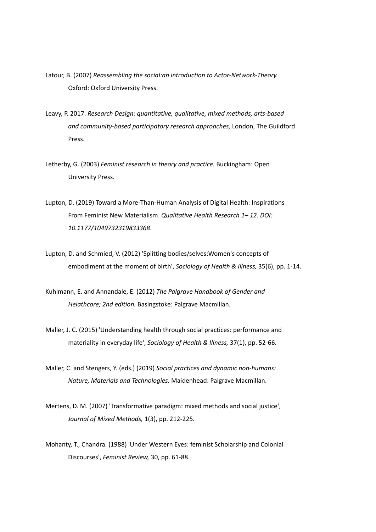- Latour, B. (2007) *Reassembling the social:an introduction to Actor-Network-Theory.* Oxford: Oxford University Press.
- Leavy, P. 2017. *Research Design: quantitative, qualitative, mixed methods, arts-based and community-based participatory research approaches,* London, The Guildford Press.
- Letherby, G. (2003) *Feminist research in theory and practice.* Buckingham: Open University Press.
- Lupton, D. (2019) Toward a More-Than-Human Analysis of Digital Health: Inspirations From Feminist New Materialism. *Qualitative Health Research 1– 12. DOI: 10.1177/1049732319833368*.
- Lupton, D. and Schmied, V. (2012) 'Splitting bodies/selves:Women's concepts of embodiment at the moment of birth', *Sociology of Health & Illness,* 35(6), pp. 1-14.
- Kuhlmann, E. and Annandale, E. (2012) *The Palgrave Handbook of Gender and Helathcare; 2nd edition.* Basingstoke: Palgrave Macmillan.
- Maller, J. C. (2015) 'Understanding health through social practices: performance and materiality in everyday life', *Sociology of Health & Illness,* 37(1), pp. 52-66.
- Maller, C. and Stengers, Y. (eds.) (2019) *Social practices and dynamic non-humans: Nature, Materials and Technologies*. Maidenhead: Palgrave Macmillan.
- Mertens, D. M. (2007) 'Transformative paradigm: mixed methods and social justice', *Journal of Mixed Methods,* 1(3), pp. 212-225.
- Mohanty, T., Chandra. (1988) 'Under Western Eyes: feminist Scholarship and Colonial Discourses', *Feminist Review,* 30, pp. 61-88.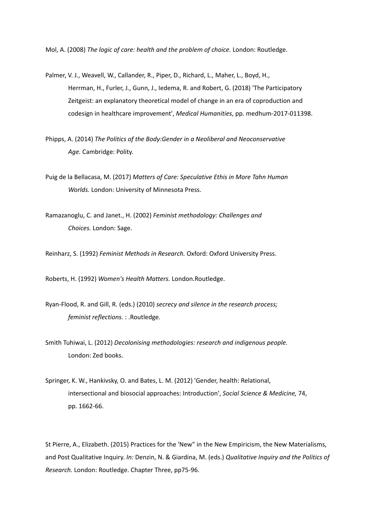Mol, A. (2008) *The logic of care: health and the problem of choice.* London: Routledge.

- Palmer, V. J., Weavell, W., Callander, R., Piper, D., Richard, L., Maher, L., Boyd, H., Herrman, H., Furler, J., Gunn, J., Iedema, R. and Robert, G. (2018) 'The Participatory Zeitgeist: an explanatory theoretical model of change in an era of coproduction and codesign in healthcare improvement', *Medical Humanities*, pp. medhum-2017-011398.
- Phipps, A. (2014) *The Politics of the Body:Gender in a Neoliberal and Neoconservative Age.* Cambridge: Polity.
- Puig de la Bellacasa, M. (2017) *Matters of Care: Speculative Ethis in More Tahn Human Worlds.* London: University of Minnesota Press.
- Ramazanoglu, C. and Janet., H. (2002) *Feminist methodology: Challenges and Choices.* London: Sage.

Reinharz, S. (1992) *Feminist Methods in Research.* Oxford: Oxford University Press.

Roberts, H. (1992) *Women's Health Matters.* London.Routledge.

- Ryan-Flood, R. and Gill, R. (eds.) (2010) *secrecy and silence in the research process; feminist reflections.* : .Routledge.
- Smith Tuhiwai, L. (2012) *Decolonising methodologies: research and indigenous people.* London: Zed books.
- Springer, K. W., Hankivsky, O. and Bates, L. M. (2012) 'Gender, health: Relational, intersectional and biosocial approaches: Introduction', *Social Science & Medicine,* 74, pp. 1662-66.

St Pierre, A., Elizabeth. (2015) Practices for the 'New" in the New Empiricism, the New Materialisms, and Post Qualitative Inquiry. *In:* Denzin, N. & Giardina, M. (eds.) *Qualitative Inquiry and the Politics of Research.* London: Routledge. Chapter Three, pp75-96.